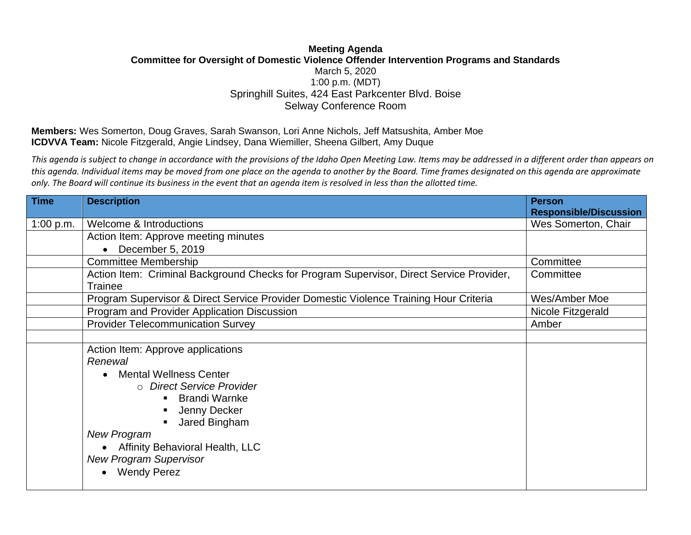## **Meeting Agenda Committee for Oversight of Domestic Violence Offender Intervention Programs and Standards** March 5, 2020 1:00 p.m. (MDT) Springhill Suites, 424 East Parkcenter Blvd. Boise Selway Conference Room

**Members:** Wes Somerton, Doug Graves, Sarah Swanson, Lori Anne Nichols, Jeff Matsushita, Amber Moe **ICDVVA Team:** Nicole Fitzgerald, Angie Lindsey, Dana Wiemiller, Sheena Gilbert, Amy Duque

*This agenda is subject to change in accordance with the provisions of the Idaho Open Meeting Law. Items may be addressed in a different order than appears on this agenda. Individual items may be moved from one place on the agenda to another by the Board. Time frames designated on this agenda are approximate only. The Board will continue its business in the event that an agenda item is resolved in less than the allotted time.*

| <b>Time</b> | <b>Description</b>                                                                       | <b>Person</b>                 |
|-------------|------------------------------------------------------------------------------------------|-------------------------------|
|             |                                                                                          | <b>Responsible/Discussion</b> |
| 1:00 p.m.   | Welcome & Introductions                                                                  | Wes Somerton, Chair           |
|             | Action Item: Approve meeting minutes                                                     |                               |
|             | December 5, 2019                                                                         |                               |
|             | <b>Committee Membership</b>                                                              | Committee                     |
|             | Action Item: Criminal Background Checks for Program Supervisor, Direct Service Provider, | Committee                     |
|             | <b>Trainee</b>                                                                           |                               |
|             | Program Supervisor & Direct Service Provider Domestic Violence Training Hour Criteria    | Wes/Amber Moe                 |
|             | Program and Provider Application Discussion                                              | Nicole Fitzgerald             |
|             | <b>Provider Telecommunication Survey</b>                                                 | Amber                         |
|             |                                                                                          |                               |
|             | Action Item: Approve applications                                                        |                               |
|             | Renewal                                                                                  |                               |
|             | <b>Mental Wellness Center</b>                                                            |                               |
|             | ○ Direct Service Provider                                                                |                               |
|             | <b>Brandi Warnke</b>                                                                     |                               |
|             | Jenny Decker                                                                             |                               |
|             | Jared Bingham                                                                            |                               |
|             | <b>New Program</b>                                                                       |                               |
|             | <b>Affinity Behavioral Health, LLC</b>                                                   |                               |
|             | <b>New Program Supervisor</b>                                                            |                               |
|             | <b>Wendy Perez</b>                                                                       |                               |
|             |                                                                                          |                               |